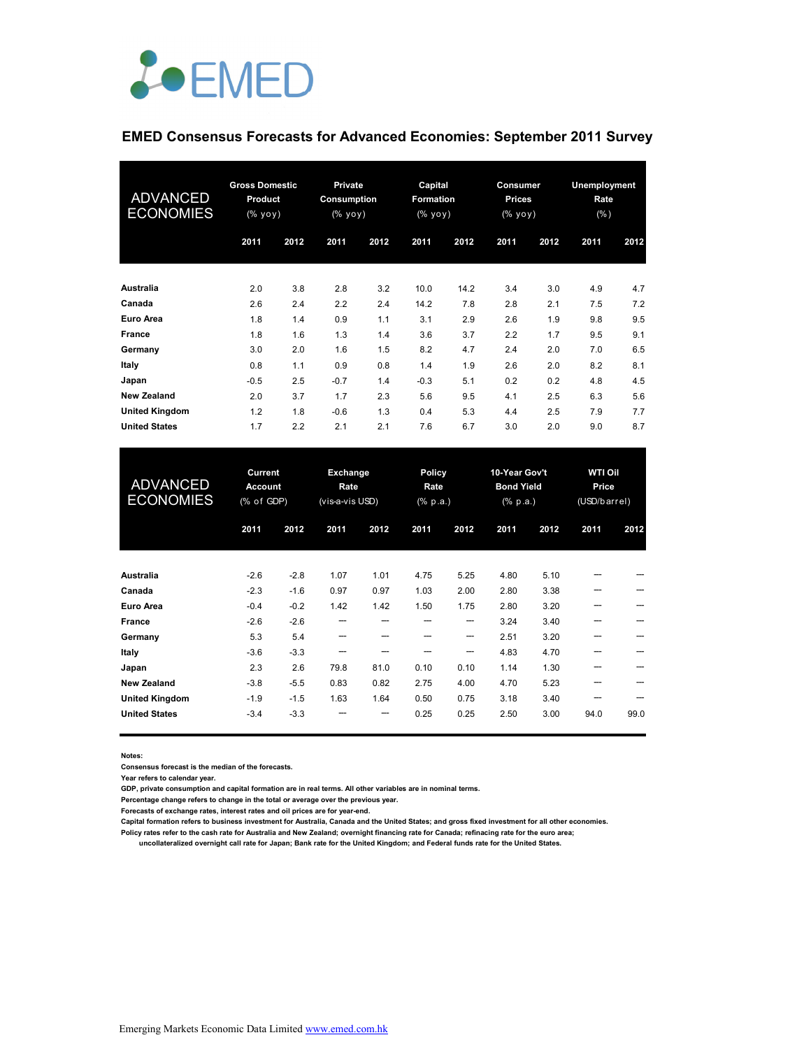

## **EMED Consensus Forecasts for Advanced Economies: September 2011 Survey**

| <b>ADVANCED</b><br><b>ECONOMIES</b> | <b>Gross Domestic</b><br><b>Product</b><br>(% yoy) |      | <b>Private</b><br>Consumption<br>(% уоу) |      | Capital<br>Formation<br>(% уоу) |      | <b>Consumer</b><br><b>Prices</b><br>(% yoy) |      | Unemployment<br>Rate<br>$(\% )$ |      |
|-------------------------------------|----------------------------------------------------|------|------------------------------------------|------|---------------------------------|------|---------------------------------------------|------|---------------------------------|------|
|                                     | 2011                                               | 2012 | 2011                                     | 2012 | 2011                            | 2012 | 2011                                        | 2012 | 2011                            | 2012 |
| <b>Australia</b>                    | 2.0                                                | 3.8  | 2.8                                      | 3.2  | 10.0                            | 14.2 | 3.4                                         | 3.0  | 4.9                             | 4.7  |
| Canada                              | 2.6                                                | 2.4  | 2.2                                      | 2.4  | 14.2                            | 7.8  | 2.8                                         | 2.1  | 7.5                             | 7.2  |
| <b>Euro Area</b>                    | 1.8                                                | 1.4  | 0.9                                      | 1.1  | 3.1                             | 2.9  | 2.6                                         | 1.9  | 9.8                             | 9.5  |
| <b>France</b>                       | 1.8                                                | 1.6  | 1.3                                      | 1.4  | 3.6                             | 3.7  | 2.2                                         | 1.7  | 9.5                             | 9.1  |
| Germany                             | 3.0                                                | 2.0  | 1.6                                      | 1.5  | 8.2                             | 4.7  | 2.4                                         | 2.0  | 7.0                             | 6.5  |
| Italy                               | 0.8                                                | 1.1  | 0.9                                      | 0.8  | 1.4                             | 1.9  | 2.6                                         | 2.0  | 8.2                             | 8.1  |
| Japan                               | $-0.5$                                             | 2.5  | $-0.7$                                   | 1.4  | $-0.3$                          | 5.1  | 0.2                                         | 0.2  | 4.8                             | 4.5  |
| <b>New Zealand</b>                  | 2.0                                                | 3.7  | 1.7                                      | 2.3  | 5.6                             | 9.5  | 4.1                                         | 2.5  | 6.3                             | 5.6  |
| <b>United Kingdom</b>               | 1.2                                                | 1.8  | $-0.6$                                   | 1.3  | 0.4                             | 5.3  | 4.4                                         | 2.5  | 7.9                             | 7.7  |
| <b>United States</b>                | 1.7                                                | 2.2  | 2.1                                      | 2.1  | 7.6                             | 6.7  | 3.0                                         | 2.0  | 9.0                             | 8.7  |

| <b>ADVANCED</b><br><b>ECONOMIES</b> | Current<br><b>Account</b><br>(% of GDP) |        | Exchange<br>Rate<br>(vis-a-vis USD) |      | <b>Policy</b><br>Rate<br>$(% \mathbf{a})$ (% p.a.) |      | 10-Year Gov't<br><b>Bond Yield</b><br>(% p.a.) |      | <b>WTI Oil</b><br>Price<br>(USD/barrel) |      |
|-------------------------------------|-----------------------------------------|--------|-------------------------------------|------|----------------------------------------------------|------|------------------------------------------------|------|-----------------------------------------|------|
|                                     | 2011                                    | 2012   | 2011                                | 2012 | 2011                                               | 2012 | 2011                                           | 2012 | 2011                                    | 2012 |
| Australia                           | $-2.6$                                  | $-2.8$ | 1.07                                | 1.01 | 4.75                                               | 5.25 | 4.80                                           | 5.10 |                                         |      |
| Canada                              | $-2.3$                                  | $-1.6$ | 0.97                                | 0.97 | 1.03                                               | 2.00 | 2.80                                           | 3.38 | ---                                     |      |
| Euro Area                           | $-0.4$                                  | $-0.2$ | 1.42                                | 1.42 | 1.50                                               | 1.75 | 2.80                                           | 3.20 | ---                                     |      |
| France                              | $-2.6$                                  | $-2.6$ | ---                                 |      | ---                                                | ---  | 3.24                                           | 3.40 | ---                                     |      |
| Germany                             | 5.3                                     | 5.4    | ---                                 |      |                                                    | ---  | 2.51                                           | 3.20 |                                         |      |
| Italy                               | $-3.6$                                  | $-3.3$ | ---                                 |      |                                                    | ---  | 4.83                                           | 4.70 |                                         |      |
| Japan                               | 2.3                                     | 2.6    | 79.8                                | 81.0 | 0.10                                               | 0.10 | 1.14                                           | 1.30 |                                         |      |
| <b>New Zealand</b>                  | $-3.8$                                  | $-5.5$ | 0.83                                | 0.82 | 2.75                                               | 4.00 | 4.70                                           | 5.23 | ---                                     |      |
| <b>United Kingdom</b>               | $-1.9$                                  | $-1.5$ | 1.63                                | 1.64 | 0.50                                               | 0.75 | 3.18                                           | 3.40 |                                         |      |
| <b>United States</b>                | $-3.4$                                  | $-3.3$ |                                     |      | 0.25                                               | 0.25 | 2.50                                           | 3.00 | 94.0                                    | 99.0 |

**Notes:** 

**Consensus forecast is the median of the forecasts.**

**Year refers to calendar year.**

**GDP, private consumption and capital formation are in real terms. All other variables are in nominal terms.**

**Percentage change refers to change in the total or average over the previous year.**

**Forecasts of exchange rates, interest rates and oil prices are for year-end.**

**Capital formation refers to business investment for Australia, Canada and the United States; and gross fixed investment for all other economies. Policy rates refer to the cash rate for Australia and New Zealand; overnight financing rate for Canada; refinacing rate for the euro area;** 

 **uncollateralized overnight call rate for Japan; Bank rate for the United Kingdom; and Federal funds rate for the United States.**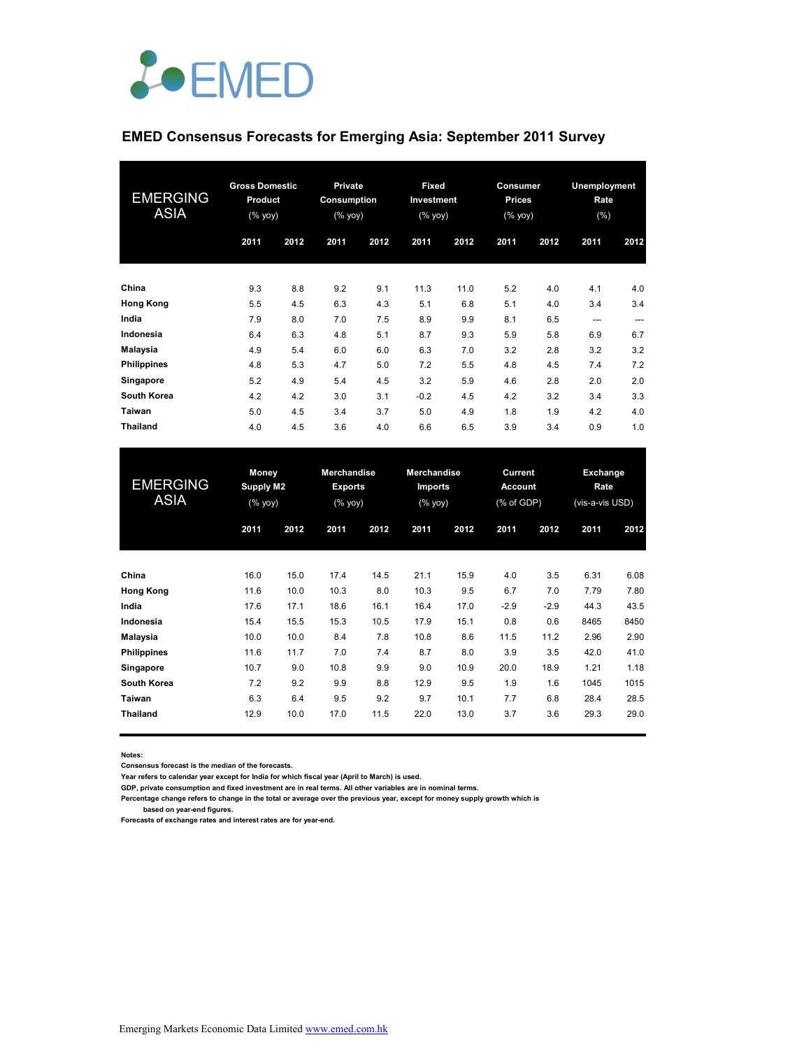

## **EMED Consensus Forecasts for Emerging Asia: September 2011 Survey**

| <b>EMERGING</b><br><b>ASIA</b> | <b>Gross Domestic</b><br><b>Product</b><br>(% yoy) |      | <b>Private</b><br>Consumption<br>(% yoy) |      | Fixed<br>Investment<br>(% yoy) |      | Consumer<br><b>Prices</b><br>(% yoy) |      | <b>Unemployment</b><br>Rate<br>(% ) |      |
|--------------------------------|----------------------------------------------------|------|------------------------------------------|------|--------------------------------|------|--------------------------------------|------|-------------------------------------|------|
|                                | 2011                                               | 2012 | 2011                                     | 2012 | 2011                           | 2012 | 2011                                 | 2012 | 2011                                | 2012 |
| China                          | 9.3                                                | 8.8  | 9.2                                      | 9.1  | 11.3                           | 11.0 | 5.2                                  | 4.0  | 4.1                                 | 4.0  |
| <b>Hong Kong</b>               | 5.5                                                | 4.5  | 6.3                                      | 4.3  | 5.1                            | 6.8  | 5.1                                  | 4.0  | 3.4                                 | 3.4  |
| India                          | 7.9                                                | 8.0  | 7.0                                      | 7.5  | 8.9                            | 9.9  | 8.1                                  | 6.5  | ---                                 | ---  |
| Indonesia                      | 6.4                                                | 6.3  | 4.8                                      | 5.1  | 8.7                            | 9.3  | 5.9                                  | 5.8  | 6.9                                 | 6.7  |
| Malaysia                       | 4.9                                                | 5.4  | 6.0                                      | 6.0  | 6.3                            | 7.0  | 3.2                                  | 2.8  | 3.2                                 | 3.2  |
| <b>Philippines</b>             | 4.8                                                | 5.3  | 4.7                                      | 5.0  | 7.2                            | 5.5  | 4.8                                  | 4.5  | 7.4                                 | 7.2  |
| Singapore                      | 5.2                                                | 4.9  | 5.4                                      | 4.5  | 3.2                            | 5.9  | 4.6                                  | 2.8  | 2.0                                 | 2.0  |
| <b>South Korea</b>             | 4.2                                                | 4.2  | 3.0                                      | 3.1  | $-0.2$                         | 4.5  | 4.2                                  | 3.2  | 3.4                                 | 3.3  |
| Taiwan                         | 5.0                                                | 4.5  | 3.4                                      | 3.7  | 5.0                            | 4.9  | 1.8                                  | 1.9  | 4.2                                 | 4.0  |
| Thailand                       | 4.0                                                | 4.5  | 3.6                                      | 4.0  | 6.6                            | 6.5  | 3.9                                  | 3.4  | 0.9                                 | 1.0  |

| <b>EMERGING</b><br><b>ASIA</b> | Money<br>Supply M2<br>(% yoy) |      | <b>Merchandise</b><br><b>Exports</b><br>(% yoy) |      | <b>Merchandise</b><br><b>Imports</b><br>(% yoy) |      | Current<br>Account<br>(% of GDP) |        | Exchange<br>Rate<br>(vis-a-vis USD) |      |
|--------------------------------|-------------------------------|------|-------------------------------------------------|------|-------------------------------------------------|------|----------------------------------|--------|-------------------------------------|------|
|                                | 2011                          | 2012 | 2011                                            | 2012 | 2011                                            | 2012 | 2011                             | 2012   | 2011                                | 2012 |
| China                          | 16.0                          | 15.0 | 17.4                                            | 14.5 | 21.1                                            | 15.9 | 4.0                              | 3.5    | 6.31                                | 6.08 |
| <b>Hong Kong</b>               | 11.6                          | 10.0 | 10.3                                            | 8.0  | 10.3                                            | 9.5  | 6.7                              | 7.0    | 7.79                                | 7.80 |
| India                          | 17.6                          | 17.1 | 18.6                                            | 16.1 | 16.4                                            | 17.0 | $-2.9$                           | $-2.9$ | 44.3                                | 43.5 |
| Indonesia                      | 15.4                          | 15.5 | 15.3                                            | 10.5 | 17.9                                            | 15.1 | 0.8                              | 0.6    | 8465                                | 8450 |
| Malaysia                       | 10.0                          | 10.0 | 8.4                                             | 7.8  | 10.8                                            | 8.6  | 11.5                             | 11.2   | 2.96                                | 2.90 |
| <b>Philippines</b>             | 11.6                          | 11.7 | 7.0                                             | 7.4  | 8.7                                             | 8.0  | 3.9                              | 3.5    | 42.0                                | 41.0 |
| Singapore                      | 10.7                          | 9.0  | 10.8                                            | 9.9  | 9.0                                             | 10.9 | 20.0                             | 18.9   | 1.21                                | 1.18 |
| South Korea                    | 7.2                           | 9.2  | 9.9                                             | 8.8  | 12.9                                            | 9.5  | 1.9                              | 1.6    | 1045                                | 1015 |
| Taiwan                         | 6.3                           | 6.4  | 9.5                                             | 9.2  | 9.7                                             | 10.1 | 7.7                              | 6.8    | 28.4                                | 28.5 |
| <b>Thailand</b>                | 12.9                          | 10.0 | 17.0                                            | 11.5 | 22.0                                            | 13.0 | 3.7                              | 3.6    | 29.3                                | 29.0 |

**Notes:** 

**Consensus forecast is the median of the forecasts.**

**Year refers to calendar year except for India for which fiscal year (April to March) is used.**

**GDP, private consumption and fixed investment are in real terms. All other variables are in nominal terms.**

**Percentage change refers to change in the total or average over the previous year, except for money supply growth which is based on year-end figures.**

**Forecasts of exchange rates and interest rates are for year-end.**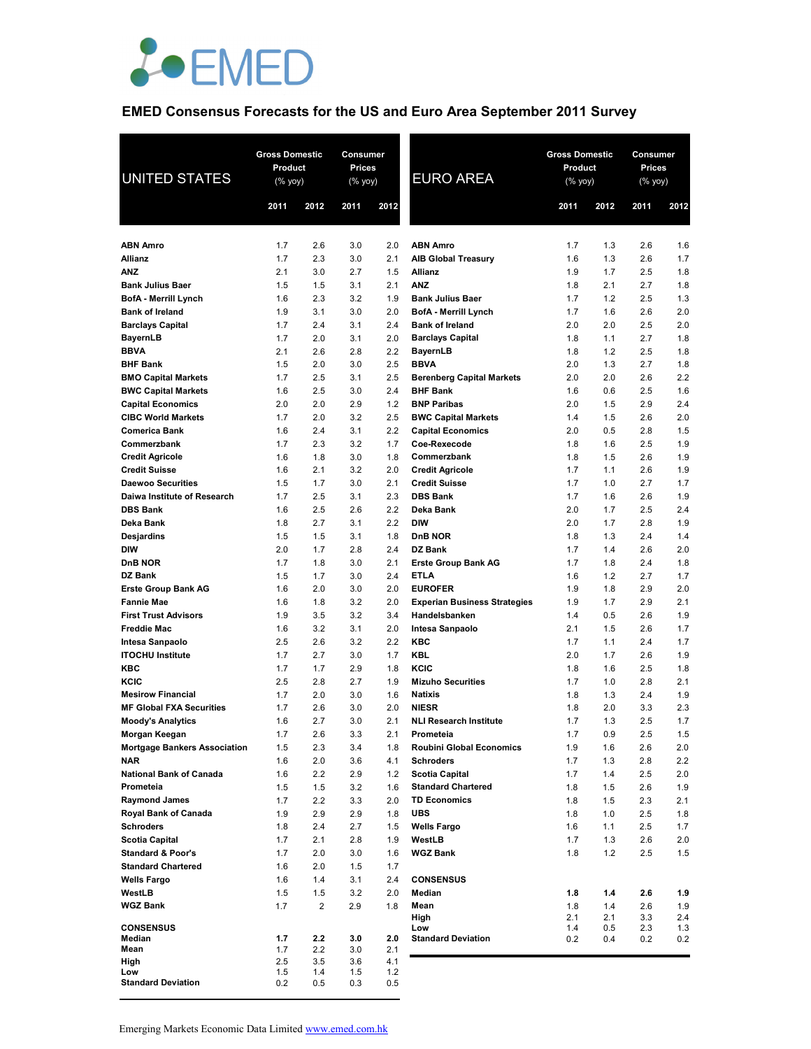

# **EMED Consensus Forecasts for the US and Euro Area September 2011 Survey**

| <b>UNITED STATES</b>                     | <b>Gross Domestic</b><br>Product<br>$(\%$ yoy) |                         | Consumer<br>Prices<br>(% yoy) |            | <b>EURO AREA</b>                    | <b>Gross Domestic</b><br>Product<br>(% yoy) | Consumer<br><b>Prices</b><br>(% yoy) |            |            |
|------------------------------------------|------------------------------------------------|-------------------------|-------------------------------|------------|-------------------------------------|---------------------------------------------|--------------------------------------|------------|------------|
|                                          | 2011                                           | 2012                    | 2011                          | 2012       |                                     | 2011                                        | 2012                                 | 2011       | 2012       |
| <b>ABN Amro</b>                          | 1.7                                            | 2.6                     | 3.0                           | 2.0        | <b>ABN Amro</b>                     | 1.7                                         | 1.3                                  | 2.6        | 1.6        |
| <b>Allianz</b>                           | 1.7                                            | 2.3                     | 3.0                           | 2.1        | <b>AIB Global Treasury</b>          | 1.6                                         | 1.3                                  | 2.6        | 1.7        |
| <b>ANZ</b>                               | 2.1                                            | 3.0                     | 2.7                           | 1.5        | Allianz                             | 1.9                                         | 1.7                                  | 2.5        | 1.8        |
| <b>Bank Julius Baer</b>                  | 1.5                                            | 1.5                     | 3.1                           | 2.1        | <b>ANZ</b>                          | 1.8                                         | 2.1                                  | 2.7        | 1.8        |
| <b>BofA - Merrill Lynch</b>              | 1.6                                            | 2.3                     | 3.2                           | 1.9        | <b>Bank Julius Baer</b>             | 1.7                                         | 1.2                                  | 2.5        | 1.3        |
| <b>Bank of Ireland</b>                   | 1.9                                            | 3.1                     | 3.0                           | 2.0        | <b>BofA - Merrill Lynch</b>         | 1.7                                         | 1.6                                  | 2.6        | 2.0        |
| <b>Barclays Capital</b>                  | 1.7                                            | 2.4                     | 3.1                           | 2.4        | <b>Bank of Ireland</b>              | 2.0                                         | 2.0                                  | 2.5        | 2.0        |
| <b>BayernLB</b>                          | 1.7                                            | 2.0                     | 3.1                           | 2.0        | <b>Barclays Capital</b>             | 1.8                                         | 1.1                                  | 2.7        | 1.8        |
| <b>BBVA</b><br><b>BHF Bank</b>           | 2.1<br>1.5                                     | 2.6                     | 2.8<br>3.0                    | 2.2<br>2.5 | BayernLB<br><b>BBVA</b>             | 1.8<br>2.0                                  | 1.2                                  | 2.5<br>2.7 | 1.8<br>1.8 |
| <b>BMO Capital Markets</b>               | 1.7                                            | 2.0<br>2.5              | 3.1                           | 2.5        | <b>Berenberg Capital Markets</b>    | 2.0                                         | 1.3<br>2.0                           | 2.6        | 2.2        |
| <b>BWC Capital Markets</b>               | 1.6                                            | 2.5                     | 3.0                           | 2.4        | <b>BHF Bank</b>                     | 1.6                                         | 0.6                                  | 2.5        | 1.6        |
| <b>Capital Economics</b>                 | 2.0                                            | 2.0                     | 2.9                           | 1.2        | <b>BNP Paribas</b>                  | 2.0                                         | 1.5                                  | 2.9        | 2.4        |
| <b>CIBC World Markets</b>                | 1.7                                            | 2.0                     | 3.2                           | 2.5        | <b>BWC Capital Markets</b>          | 1.4                                         | 1.5                                  | 2.6        | 2.0        |
| <b>Comerica Bank</b>                     | 1.6                                            | 2.4                     | 3.1                           | 2.2        | <b>Capital Economics</b>            | 2.0                                         | 0.5                                  | 2.8        | 1.5        |
| Commerzbank                              | 1.7                                            | 2.3                     | 3.2                           | 1.7        | Coe-Rexecode                        | 1.8                                         | 1.6                                  | 2.5        | 1.9        |
| <b>Credit Agricole</b>                   | 1.6                                            | 1.8                     | 3.0                           | 1.8        | Commerzbank                         | 1.8                                         | 1.5                                  | 2.6        | 1.9        |
| <b>Credit Suisse</b>                     | 1.6                                            | 2.1                     | 3.2                           | 2.0        | <b>Credit Agricole</b>              | 1.7                                         | 1.1                                  | 2.6        | 1.9        |
| <b>Daewoo Securities</b>                 | 1.5                                            | 1.7                     | 3.0                           | 2.1        | <b>Credit Suisse</b>                | 1.7                                         | 1.0                                  | 2.7        | 1.7        |
| Daiwa Institute of Research              | 1.7                                            | 2.5                     | 3.1                           | 2.3        | <b>DBS Bank</b>                     | 1.7                                         | 1.6                                  | 2.6        | 1.9        |
| <b>DBS Bank</b><br>Deka Bank             | 1.6<br>1.8                                     | 2.5<br>2.7              | 2.6<br>3.1                    | 2.2<br>2.2 | Deka Bank<br><b>DIW</b>             | 2.0<br>2.0                                  | 1.7<br>1.7                           | 2.5<br>2.8 | 2.4<br>1.9 |
| Desjardins                               | 1.5                                            | 1.5                     | 3.1                           | 1.8        | <b>DnB NOR</b>                      | 1.8                                         | 1.3                                  | 2.4        | 1.4        |
| <b>DIW</b>                               | 2.0                                            | 1.7                     | 2.8                           | 2.4        | DZ Bank                             | 1.7                                         | 1.4                                  | 2.6        | 2.0        |
| <b>DnB NOR</b>                           | 1.7                                            | 1.8                     | 3.0                           | 2.1        | <b>Erste Group Bank AG</b>          | 1.7                                         | 1.8                                  | 2.4        | 1.8        |
| DZ Bank                                  | 1.5                                            | 1.7                     | 3.0                           | 2.4        | <b>ETLA</b>                         | 1.6                                         | 1.2                                  | 2.7        | 1.7        |
| <b>Erste Group Bank AG</b>               | 1.6                                            | 2.0                     | 3.0                           | 2.0        | <b>EUROFER</b>                      | 1.9                                         | 1.8                                  | 2.9        | 2.0        |
| <b>Fannie Mae</b>                        | 1.6                                            | 1.8                     | 3.2                           | 2.0        | <b>Experian Business Strategies</b> | 1.9                                         | 1.7                                  | 2.9        | 2.1        |
| <b>First Trust Advisors</b>              | 1.9                                            | 3.5                     | 3.2                           | 3.4        | Handelsbanken                       | 1.4                                         | 0.5                                  | 2.6        | 1.9        |
| <b>Freddie Mac</b>                       | 1.6                                            | 3.2                     | 3.1                           | 2.0        | Intesa Sanpaolo                     | 2.1                                         | 1.5                                  | 2.6        | 1.7        |
| Intesa Sanpaolo                          | 2.5                                            | 2.6                     | 3.2                           | 2.2        | KBC                                 | 1.7                                         | 1.1                                  | 2.4        | 1.7        |
| <b>ITOCHU Institute</b>                  | 1.7                                            | 2.7                     | 3.0                           | 1.7        | <b>KBL</b>                          | 2.0                                         | 1.7                                  | 2.6        | 1.9        |
| <b>KBC</b><br>KCIC                       | 1.7<br>2.5                                     | 1.7<br>2.8              | 2.9<br>2.7                    | 1.8<br>1.9 | KCIC<br><b>Mizuho Securities</b>    | 1.8<br>1.7                                  | 1.6<br>1.0                           | 2.5<br>2.8 | 1.8<br>2.1 |
| <b>Mesirow Financial</b>                 | 1.7                                            | 2.0                     | 3.0                           | 1.6        | <b>Natixis</b>                      | 1.8                                         | 1.3                                  | 2.4        | 1.9        |
| <b>MF Global FXA Securities</b>          | 1.7                                            | 2.6                     | 3.0                           | 2.0        | <b>NIESR</b>                        | 1.8                                         | 2.0                                  | 3.3        | 2.3        |
| <b>Moody's Analytics</b>                 | 1.6                                            | 2.7                     | 3.0                           | 2.1        | <b>NLI Research Institute</b>       | 1.7                                         | 1.3                                  | 2.5        | 1.7        |
| Morgan Keegan                            | 1.7                                            | 2.6                     | 3.3                           | 2.1        | Prometeia                           | 1.7                                         | 0.9                                  | 2.5        | 1.5        |
| <b>Mortgage Bankers Association</b>      | 1.5                                            | 2.3                     | 3.4                           | 1.8        | Roubini Global Economics            | 1.9                                         | 1.6                                  | 2.6        | 2.0        |
| <b>NAR</b>                               | 1.6                                            | 2.0                     | 3.6                           | 4.1        | <b>Schroders</b>                    | 1.7                                         | 1.3                                  | 2.8        | 2.2        |
| <b>National Bank of Canada</b>           | 1.6                                            | 2.2                     | 2.9                           | 1.2        | <b>Scotia Capital</b>               | 1.7                                         | 1.4                                  | 2.5        | 2.0        |
| Prometeia                                | 1.5                                            | 1.5                     | 3.2                           | 1.6        | <b>Standard Chartered</b>           | 1.8                                         | 1.5                                  | 2.6        | 1.9        |
| <b>Raymond James</b>                     | 1.7                                            | 2.2                     | 3.3                           | 2.0        | <b>TD Economics</b>                 | 1.8                                         | 1.5                                  | 2.3        | 2.1        |
| Royal Bank of Canada<br><b>Schroders</b> | 1.9<br>1.8                                     | 2.9<br>2.4              | 2.9<br>2.7                    | 1.8<br>1.5 | <b>UBS</b><br><b>Wells Fargo</b>    | 1.8<br>1.6                                  | 1.0<br>1.1                           | 2.5<br>2.5 | 1.8<br>1.7 |
| <b>Scotia Capital</b>                    | 1.7                                            | 2.1                     | 2.8                           | 1.9        | WestLB                              | 1.7                                         | 1.3                                  | 2.6        | 2.0        |
| <b>Standard &amp; Poor's</b>             | 1.7                                            | 2.0                     | 3.0                           | 1.6        | <b>WGZ Bank</b>                     | 1.8                                         | 1.2                                  | 2.5        | 1.5        |
| <b>Standard Chartered</b>                | 1.6                                            | 2.0                     | 1.5                           | 1.7        |                                     |                                             |                                      |            |            |
| <b>Wells Fargo</b>                       | 1.6                                            | 1.4                     | 3.1                           | 2.4        | <b>CONSENSUS</b>                    |                                             |                                      |            |            |
| WestLB                                   | 1.5                                            | 1.5                     | 3.2                           | 2.0        | Median                              | 1.8                                         | 1.4                                  | 2.6        | 1.9        |
| <b>WGZ Bank</b>                          | 1.7                                            | $\overline{\mathbf{c}}$ | 2.9                           | 1.8        | Mean                                | 1.8                                         | 1.4                                  | 2.6        | 1.9        |
| <b>CONSENSUS</b>                         |                                                |                         |                               |            | High<br>Low                         | 2.1<br>1.4                                  | 2.1<br>0.5                           | 3.3<br>2.3 | 2.4<br>1.3 |
| Median                                   | 1.7                                            | 2.2                     | 3.0                           | 2.0        | <b>Standard Deviation</b>           | 0.2                                         | 0.4                                  | 0.2        | 0.2        |
| Mean                                     | 1.7                                            | 2.2                     | 3.0                           | 2.1        |                                     |                                             |                                      |            |            |
| High                                     | 2.5                                            | 3.5                     | 3.6                           | 4.1        |                                     |                                             |                                      |            |            |
| Low<br><b>Standard Deviation</b>         | 1.5<br>0.2                                     | 1.4<br>0.5              | 1.5<br>0.3                    | 1.2<br>0.5 |                                     |                                             |                                      |            |            |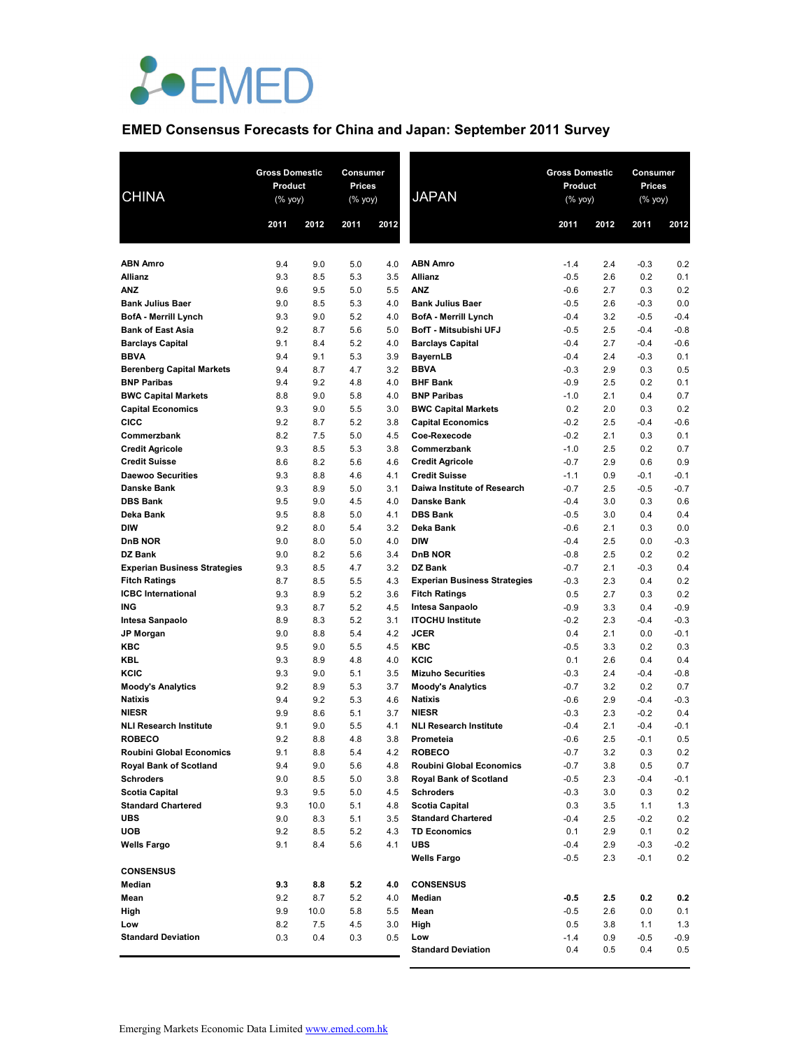

## **EMED Consensus Forecasts for China and Japan: September 2011 Survey**

| <b>CHINA</b>                                           | <b>Gross Domestic</b><br>Product<br>(% |             | Consumer<br><b>Prices</b><br>(% yoy) |            | <b>JAPAN</b>                                       | <b>Gross Domestic</b><br>Product<br>(% yoy) |                | Consumer<br><b>Prices</b><br>(% yoy) |               |
|--------------------------------------------------------|----------------------------------------|-------------|--------------------------------------|------------|----------------------------------------------------|---------------------------------------------|----------------|--------------------------------------|---------------|
|                                                        | 2011                                   | 2012        | 2011                                 | 2012       |                                                    | 2011                                        | 2012           | 2011                                 | 2012          |
| <b>ABN Amro</b>                                        | 9.4                                    | 9.0         | 5.0                                  | 4.0        | <b>ABN Amro</b>                                    | $-1.4$                                      | 2.4            | $-0.3$                               | 0.2           |
| <b>Allianz</b>                                         | 9.3                                    | 8.5         | 5.3                                  | 3.5        | <b>Allianz</b>                                     | $-0.5$                                      | 2.6            | 0.2                                  | 0.1           |
| <b>ANZ</b>                                             | 9.6                                    | 9.5         | 5.0                                  | 5.5        | <b>ANZ</b>                                         | $-0.6$                                      | 2.7            | 0.3                                  | 0.2           |
| <b>Bank Julius Baer</b>                                | 9.0                                    | 8.5         | 5.3                                  | 4.0        | <b>Bank Julius Baer</b>                            | $-0.5$                                      | 2.6            | $-0.3$                               | 0.0           |
| <b>BofA</b> - Merrill Lynch                            | 9.3                                    | 9.0         | 5.2                                  | 4.0        | <b>BofA - Merrill Lynch</b>                        | $-0.4$                                      | 3.2            | $-0.5$                               | $-0.4$        |
| <b>Bank of East Asia</b>                               | 9.2                                    | 8.7         | 5.6                                  | 5.0        | BofT - Mitsubishi UFJ                              | $-0.5$                                      | 2.5            | $-0.4$                               | $-0.8$        |
| <b>Barclays Capital</b>                                | 9.1                                    | 8.4         | 5.2                                  | 4.0        | <b>Barclays Capital</b>                            | $-0.4$                                      | 2.7            | $-0.4$                               | $-0.6$        |
| <b>BBVA</b>                                            | 9.4                                    | 9.1         | 5.3                                  | 3.9        | <b>BayernLB</b>                                    | $-0.4$                                      | 2.4            | $-0.3$                               | 0.1           |
| <b>Berenberg Capital Markets</b><br><b>BNP Paribas</b> | 9.4                                    | 8.7<br>9.2  | 4.7<br>4.8                           | 3.2<br>4.0 | <b>BBVA</b><br><b>BHF Bank</b>                     | $-0.3$<br>$-0.9$                            | 2.9<br>2.5     | 0.3<br>0.2                           | 0.5           |
| <b>BWC Capital Markets</b>                             | 9.4<br>8.8                             | 9.0         | 5.8                                  | 4.0        | <b>BNP Paribas</b>                                 | $-1.0$                                      | 2.1            | 0.4                                  | 0.1<br>0.7    |
| <b>Capital Economics</b>                               | 9.3                                    | 9.0         | 5.5                                  | 3.0        | <b>BWC Capital Markets</b>                         | 0.2                                         | 2.0            | 0.3                                  | 0.2           |
| <b>CICC</b>                                            | 9.2                                    | 8.7         | 5.2                                  | 3.8        | <b>Capital Economics</b>                           | $-0.2$                                      | 2.5            | $-0.4$                               | $-0.6$        |
| Commerzbank                                            | 8.2                                    | 7.5         | 5.0                                  | 4.5        | Coe-Rexecode                                       | $-0.2$                                      | 2.1            | 0.3                                  | 0.1           |
| <b>Credit Agricole</b>                                 | 9.3                                    | 8.5         | 5.3                                  | 3.8        | Commerzbank                                        | $-1.0$                                      | 2.5            | 0.2                                  | 0.7           |
| <b>Credit Suisse</b>                                   | 8.6                                    | 8.2         | 5.6                                  | 4.6        | <b>Credit Agricole</b>                             | $-0.7$                                      | 2.9            | 0.6                                  | 0.9           |
| <b>Daewoo Securities</b>                               | 9.3                                    | 8.8         | 4.6                                  | 4.1        | <b>Credit Suisse</b>                               | $-1.1$                                      | 0.9            | $-0.1$                               | $-0.1$        |
| <b>Danske Bank</b>                                     | 9.3                                    | 8.9         | 5.0                                  | 3.1        | Daiwa Institute of Research                        | $-0.7$                                      | 2.5            | $-0.5$                               | $-0.7$        |
| <b>DBS Bank</b>                                        | 9.5                                    | 9.0         | 4.5                                  | 4.0        | <b>Danske Bank</b>                                 | $-0.4$                                      | 3.0            | 0.3                                  | 0.6           |
| Deka Bank                                              | 9.5                                    | 8.8         | 5.0                                  | 4.1        | <b>DBS Bank</b>                                    | $-0.5$                                      | 3.0            | 0.4                                  | 0.4           |
| <b>DIW</b>                                             | 9.2                                    | 8.0         | 5.4                                  | 3.2        | Deka Bank                                          | $-0.6$                                      | 2.1            | 0.3                                  | 0.0           |
| <b>DnB NOR</b>                                         | 9.0                                    | 8.0         | 5.0                                  | 4.0        | <b>DIW</b>                                         | $-0.4$                                      | 2.5            | 0.0                                  | $-0.3$        |
| <b>DZ Bank</b>                                         | 9.0                                    | 8.2         | 5.6                                  | 3.4        | <b>DnB NOR</b>                                     | $-0.8$                                      | 2.5            | 0.2                                  | 0.2           |
| <b>Experian Business Strategies</b>                    | 9.3                                    | 8.5         | 4.7                                  | 3.2        | <b>DZ Bank</b>                                     | $-0.7$                                      | 2.1            | $-0.3$                               | 0.4           |
| <b>Fitch Ratings</b>                                   | 8.7                                    | 8.5         | 5.5                                  | 4.3        | <b>Experian Business Strategies</b>                | $-0.3$                                      | 2.3            | 0.4                                  | 0.2           |
| <b>ICBC</b> International                              | 9.3<br>9.3                             | 8.9<br>8.7  | 5.2<br>5.2                           | 3.6        | <b>Fitch Ratings</b>                               | 0.5<br>$-0.9$                               | 2.7<br>3.3     | 0.3<br>0.4                           | 0.2<br>$-0.9$ |
| <b>ING</b><br>Intesa Sanpaolo                          | 8.9                                    | 8.3         | 5.2                                  | 4.5<br>3.1 | Intesa Sanpaolo<br><b>ITOCHU Institute</b>         | $-0.2$                                      | 2.3            | $-0.4$                               | $-0.3$        |
| <b>JP Morgan</b>                                       | 9.0                                    | 8.8         | 5.4                                  | 4.2        | <b>JCER</b>                                        | 0.4                                         | 2.1            | 0.0                                  | $-0.1$        |
| <b>KBC</b>                                             | 9.5                                    | 9.0         | 5.5                                  | 4.5        | <b>KBC</b>                                         | $-0.5$                                      | 3.3            | 0.2                                  | 0.3           |
| KBL                                                    | 9.3                                    | 8.9         | 4.8                                  | 4.0        | <b>KCIC</b>                                        | 0.1                                         | 2.6            | 0.4                                  | 0.4           |
| KCIC                                                   | 9.3                                    | 9.0         | 5.1                                  | 3.5        | <b>Mizuho Securities</b>                           | $-0.3$                                      | 2.4            | $-0.4$                               | $-0.8$        |
| <b>Moody's Analytics</b>                               | 9.2                                    | 8.9         | 5.3                                  | 3.7        | <b>Moody's Analytics</b>                           | $-0.7$                                      | 3.2            | 0.2                                  | 0.7           |
| <b>Natixis</b>                                         | 9.4                                    | 9.2         | 5.3                                  | 4.6        | <b>Natixis</b>                                     | $-0.6$                                      | 2.9            | $-0.4$                               | $-0.3$        |
| <b>NIESR</b>                                           | 9.9                                    | 8.6         | 5.1                                  | 3.7        | <b>NIESR</b>                                       | $-0.3$                                      | 2.3            | $-0.2$                               | 0.4           |
| <b>NLI Research Institute</b>                          | 9.1                                    | 9.0         | 5.5                                  | 4.1        | <b>NLI Research Institute</b>                      | $-0.4$                                      | 2.1            | $-0.4$                               | $-0.1$        |
| <b>ROBECO</b>                                          | 9.2                                    | 8.8         | 4.8                                  | 3.8        | Prometeia                                          | $-0.6$                                      | 2.5            | $-0.1$                               | 0.5           |
| Roubini Global Economics                               | 9.1                                    | 8.8         | 5.4                                  | 4.2        | <b>ROBECO</b>                                      | $-0.7$                                      | 3.2            | 0.3                                  | 0.2           |
| <b>Royal Bank of Scotland</b>                          | 9.4                                    | 9.0         | 5.6                                  | 4.8        | <b>Roubini Global Economics</b>                    | $-0.7$                                      | 3.8            | 0.5                                  | 0.7           |
| <b>Schroders</b>                                       | 9.0                                    | 8.5         | 5.0                                  | 3.8        | <b>Royal Bank of Scotland</b>                      | $-0.5$                                      | 2.3            | $-0.4$                               | -0.1          |
| <b>Scotia Capital</b><br><b>Standard Chartered</b>     | 9.3                                    | 9.5         | 5.0<br>5.1                           | 4.5        | <b>Schroders</b>                                   | $-0.3$                                      | 3.0            | 0.3                                  | 0.2           |
| <b>UBS</b>                                             | 9.3<br>9.0                             | 10.0<br>8.3 | 5.1                                  | 4.8<br>3.5 | <b>Scotia Capital</b><br><b>Standard Chartered</b> | 0.3<br>$-0.4$                               | 3.5<br>2.5     | 1.1<br>$-0.2$                        | 1.3<br>0.2    |
| <b>UOB</b>                                             | 9.2                                    | 8.5         | 5.2                                  | 4.3        | <b>TD Economics</b>                                | 0.1                                         | 2.9            | 0.1                                  | 0.2           |
| <b>Wells Fargo</b>                                     | 9.1                                    | 8.4         | 5.6                                  | 4.1        | <b>UBS</b>                                         | $-0.4$                                      | 2.9            | $-0.3$                               | $-0.2$        |
|                                                        |                                        |             |                                      |            | <b>Wells Fargo</b>                                 | $-0.5$                                      | 2.3            | $-0.1$                               | 0.2           |
| <b>CONSENSUS</b>                                       |                                        |             |                                      |            |                                                    |                                             |                |                                      |               |
| Median                                                 | 9.3                                    | 8.8         | 5.2                                  | 4.0        | <b>CONSENSUS</b>                                   |                                             |                |                                      |               |
| Mean<br>High                                           | 9.2<br>9.9                             | 8.7<br>10.0 | 5.2<br>5.8                           | 4.0<br>5.5 | Median<br>Mean                                     | -0.5<br>$-0.5$                              | $2.5\,$<br>2.6 | 0.2<br>0.0                           | 0.2           |
| Low                                                    | 8.2                                    | 7.5         | 4.5                                  | 3.0        | High                                               | 0.5                                         | 3.8            | 1.1                                  | 0.1<br>1.3    |
| <b>Standard Deviation</b>                              | 0.3                                    | 0.4         | 0.3                                  | 0.5        | Low                                                | $-1.4$                                      | 0.9            | $-0.5$                               | $-0.9$        |
|                                                        |                                        |             |                                      |            | <b>Standard Deviation</b>                          | 0.4                                         | 0.5            | 0.4                                  | 0.5           |